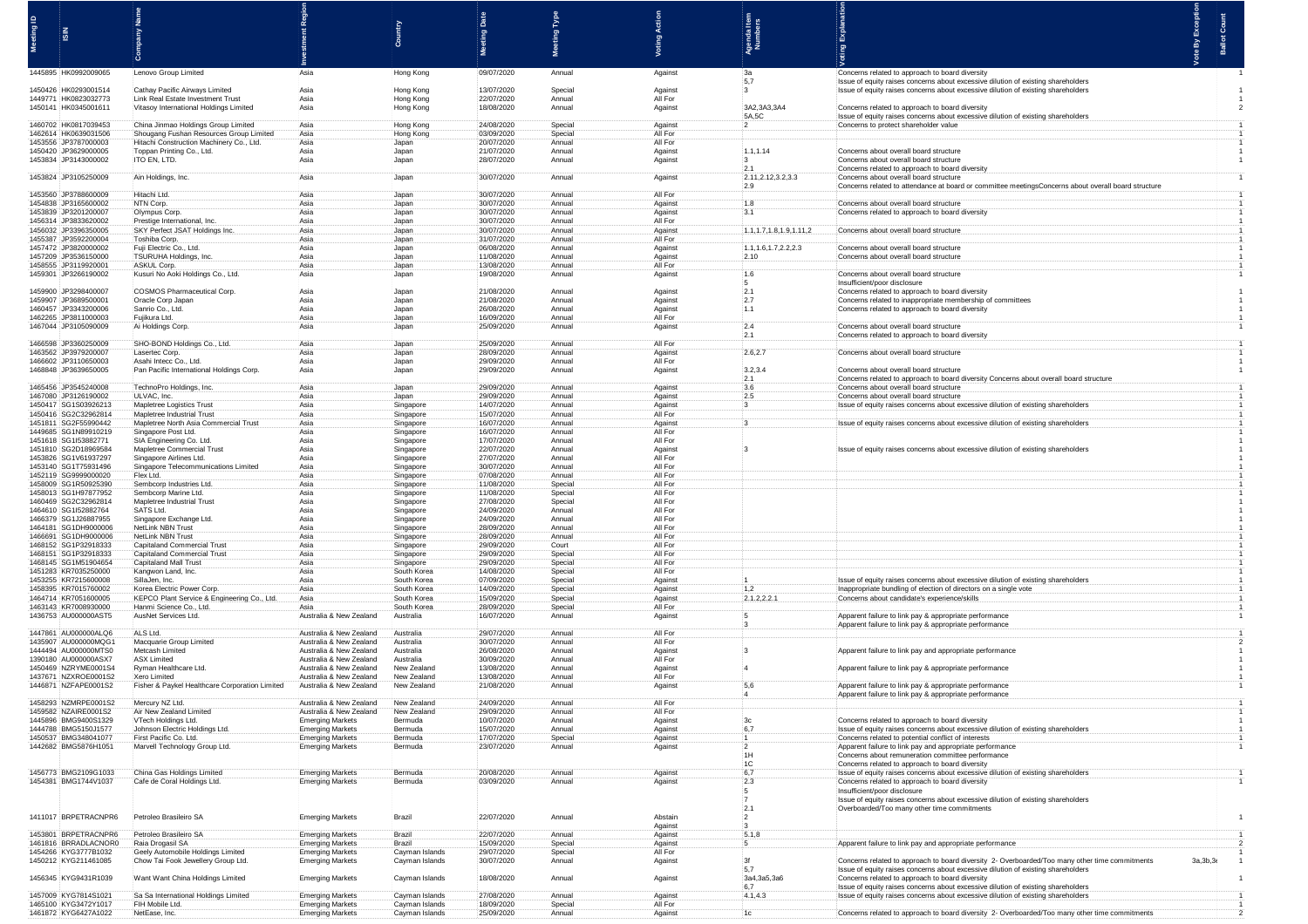|                                                  |                                                                                |                                                    |                                  |                          | <b>Part</b>        |                    |                                   |                                                                                                                                      |            |  |
|--------------------------------------------------|--------------------------------------------------------------------------------|----------------------------------------------------|----------------------------------|--------------------------|--------------------|--------------------|-----------------------------------|--------------------------------------------------------------------------------------------------------------------------------------|------------|--|
|                                                  |                                                                                |                                                    |                                  | ting                     | leg                |                    |                                   |                                                                                                                                      |            |  |
|                                                  |                                                                                |                                                    |                                  |                          |                    |                    | 흛                                 |                                                                                                                                      |            |  |
|                                                  |                                                                                |                                                    |                                  |                          |                    |                    |                                   |                                                                                                                                      |            |  |
| 1445895 HK0992009065                             | Lenovo Group Limited                                                           | Asia                                               | Hong Kong                        | 09/07/2020               | Annual             | Against            | : За<br>$-5,7$                    | Concerns related to approach to board diversity<br>Issue of equity raises concerns about excessive dilution of existing shareholders |            |  |
| 1450426 HK0293001514                             | Cathay Pacific Airways Limited                                                 | Asia                                               | Hong Kong                        | 13/07/2020               | Special            | Against            | 3 <sub>1</sub>                    | Issue of equity raises concerns about excessive dilution of existing shareholde                                                      |            |  |
| 1449771 HK0823032773<br>1450141 HK0345001611     | Link Real Estate Investment Trust<br>Vitasov International Holdings Limited    | Asia<br>Asia                                       | Hong Kong<br>Hong Kong           | 22/07/2020<br>18/08/2020 | Annual<br>Annual   | All For<br>Against | 3A2,3A3,3A4                       | Concerns related to approach to board diversity                                                                                      |            |  |
|                                                  |                                                                                |                                                    |                                  | 24/08/2020               |                    |                    | 5A,5C                             | Issue of equity raises concerns about excessive dilution of existing shareholde                                                      |            |  |
| 1460702 HK0817039453<br>1462614 HK0639031506     | China Jinmao Holdings Group Limited<br>Shougang Fushan Resources Group Limited | Asia<br>Asia                                       | Hong Kong<br>Hong Kong           | 03/09/2020               | Special<br>Special | Against<br>All For | $\cdot$ 2                         | Concerns to protect shareholder value                                                                                                |            |  |
| 1453556 JP3787000003<br>1450420 JP3629000005     | Hitachi Construction Machinery Co., Ltd.<br>Toppan Printing Co., Ltd.          | Asia<br>Asia                                       | Japan<br>Japan                   | 20/07/2020<br>21/07/2020 | Annual<br>Annual   | All For<br>Against | 1.1, 1.                           | Concerns about overall board structur                                                                                                |            |  |
| 1453834 JP3143000002                             | ITO EN, LTD.                                                                   | Asia                                               | Japan                            | 28/07/2020               | Annual             | Against            | $\cdot$ 3                         | Concerns about overall board structure                                                                                               |            |  |
| 1453824 JP3105250009                             | Ain Holdings, Inc.                                                             | Asia                                               | Japan                            | 30/07/2020               | Annual             | Against            | .2.1<br>2.11,2.12,3.2,3.3         | Concerns related to approach to board dive<br>Concerns about overall board structure                                                 |            |  |
|                                                  |                                                                                |                                                    |                                  |                          |                    |                    | 2.9                               | Concerns related to attendance at board or                                                                                           |            |  |
| 1453560 JP3788600009<br>1454838 JP3165600002     | Hitachi Ltd.<br>NTN Corp.                                                      | Asia<br>Asia                                       | Japan<br>Japan                   | 30/07/2020<br>30/07/2020 | Annual<br>Annual   | All For<br>Against | 1.8                               | Concerns about overall board structure                                                                                               |            |  |
| 1453839 JP3201200007                             | Olympus Corp                                                                   | Asia                                               | Japan                            | 30/07/2020               | Annual             | Against            | 3.1                               | Concerns related to approach to board div                                                                                            |            |  |
| 1456314 JP3833620002<br>1456032 JP3396350005     | Prestige International, Inc.<br>SKY Perfect JSAT Holdings I                    | Asia<br>Asia                                       | Japan<br>Japan                   | 30/07/2020<br>30/07/2020 | Annual<br>Annual   | All For<br>Against | 1.1, 1.7, 1.8, 1.9, 1.11, 2       | Concerns about overall board structur                                                                                                |            |  |
| 1455387 JP3592200004                             | Toshiba Corp.                                                                  | Asia                                               | Japan                            | 31/07/2020               | Annual             | All For            |                                   |                                                                                                                                      |            |  |
| 1457472 :JP3820000002<br>1457209 JP3536150000    | Fuji Electric Co., Ltd.<br>TSURUHA Holdings, Inc.                              | Asia<br>Asia                                       | Japan<br>Japan                   | 06/08/2020<br>11/08/2020 | Annual<br>Annual   | Against<br>Against | : 1.1, 1.6, 1.7, 2.2, 2.3<br>2.10 | Concerns about overall board structure<br>Concerns about overall board structur                                                      |            |  |
| 1458555 JP3119920001                             | ASKUL Corp.                                                                    | Asia                                               | Japan                            | 13/08/2020               | Annual             | All For            | 1.6                               |                                                                                                                                      |            |  |
| 1459301 JP3266190002                             | Kusuri No Aoki Holdings Co., Ltd                                               | Asia                                               | Japan                            | 19/08/2020               | Annual             | Against            | :5                                | Concerns about overall board structure<br>Insufficient/poor disclosure                                                               |            |  |
| 1459900 JP3298400007<br>1459907 JP3689500001     | <b>COSMOS Pharmaceutical Corp</b><br>Oracle Corp Japan                         | Asia<br>Asia                                       | Japan                            | 21/08/2020<br>21/08/2020 | Annual             | Against            | 12.1<br>2.7                       | Concerns related to approach to board diversity                                                                                      |            |  |
| 1460457 JP3343200006                             | Sanrio Co., Ltd.                                                               | Asia                                               | Japan<br>: Japan                 | :26/08/2020              | Annual<br>Annual   | Against<br>Against | : 1.1                             | Concerns related to inappropriate membership of com<br>Concerns related to approach to board diversity                               |            |  |
| 1462265 JP3811000003<br>1467044 JP3105090009     | Fujikura Ltd.<br>Ai Holdings Corp.                                             | Asia<br>Asia                                       | Japan<br>Japan                   | 16/09/2020<br>25/09/2020 | Annual<br>Annual   | All For<br>Against | 2.4                               | Concerns about overall board structure                                                                                               |            |  |
|                                                  |                                                                                |                                                    |                                  |                          |                    |                    | 2.1                               | Concerns related to approach to board dive                                                                                           |            |  |
| 1466598 JP3360250009<br>1463562 JP3979200007     | SHO-BOND Holdings Co., Ltd.<br>Lasertec Corp.                                  | Asia<br>Asia                                       | Japan<br>Japan                   | 25/09/2020<br>28/09/2020 | Annual<br>Annual   | All For<br>Against | 2.6, 2.7                          | Concerns about overall board structure                                                                                               |            |  |
| 1466602 JP3110650003                             | Asahi Intecc Co., Ltd.                                                         | Asia                                               | Japan                            | 29/09/2020               | Annual             | All For            |                                   |                                                                                                                                      |            |  |
| 1468848 JP3639650005                             | Pan Pacific International Holdings Con                                         | Asia                                               | Japan                            | 29/09/2020               | Annual             | Against            | 3.2.3.4<br>2.1                    | Concerns about overall board structure<br>Concerns related to approach to board diversity Concerns about overall board sti           |            |  |
| 1465456 JP3545240008                             | TechnoPro Holdings, Inc.                                                       | Asia                                               | Japan                            | 29/09/2020               | Annual             | Against            | 3.6                               | Concerns about overall board structure                                                                                               |            |  |
| 1467080 JP3126190002<br>1450417 SG1S03926213     | ULVAC, Inc.<br>Mapletree Logistics Trust                                       | Asia<br>Asia                                       | Japan<br>Singapore               | 29/09/2020<br>14/07/2020 | Annual<br>Annual   | Against<br>Against | :2.5                              | Concerns about overall board structure<br>Issue of equity raises concerns about excessive dilution of existing sharehold             |            |  |
| 1450416 SG2C32962814                             | Mapletree Industrial Trust                                                     | Asia                                               | Singapore                        | 15/07/2020               | Annual             | All For            |                                   |                                                                                                                                      |            |  |
| 1451811 SG2F55990442<br>1449685 SG1N89910219     | Mapletree North Asia Commercial Trus<br>Singapore Post Ltd.                    | Asia<br>Asia                                       | Singapore<br>Singapore           | 16/07/2020<br>16/07/2020 | Annual<br>Annual   | Against<br>All For |                                   | Issue of equity raises concerns about excessive dilution of existing shareholde                                                      |            |  |
| 1451618 SG1I53882771                             | SIA Engineering Co. Ltd.                                                       | Asia                                               | Singapore                        | 17/07/2020               | Annual             | All For            |                                   |                                                                                                                                      |            |  |
| 1451810 SG2D18969584<br>1453826 :SG1V61937297    | Mapletree Commercial Trus<br>Singapore Airlines Ltd.                           | Asia<br>Asia                                       | Singapore<br>Singapore           | 22/07/2020<br>27/07/2020 | Annual<br>Annual   | Against<br>All For |                                   | Issue of equity raises concerns about excessive dilution of existing sharehol                                                        |            |  |
| 1453140 SG1T75931496<br>1452119 SG9999000020     | Singapore Telecommunications<br>Flex Ltd.                                      | Asia<br>Asia                                       | Singapore                        | 30/07/2020<br>07/08/2020 | Annual<br>Annual   | All For<br>All For |                                   |                                                                                                                                      |            |  |
| 1458009 SG1R50925390                             | Sembcorp Industries Ltd                                                        | Asia                                               | Singapore<br>Singapore           | 11/08/2020               | Special            | All For            |                                   |                                                                                                                                      |            |  |
| 1458013 SG1H97877952<br>1460469<br>SG2C32962814  | Sembcorp Marine Ltd.<br>Mapletree Industrial Trust                             | Asia<br>Asia                                       | Singapore                        | 11/08/2020<br>27/08/2020 | Special<br>Special | All For<br>All For |                                   |                                                                                                                                      |            |  |
| 1464610 SG1I52882764                             | SATS Ltd.                                                                      | Asia                                               | Singapore<br>Singapore           | 24/09/2020               | Annual             | All For            |                                   |                                                                                                                                      |            |  |
| 1466379 :SG1J26887955<br>1464181 SG1DH9000006    | Singapore Exchange Ltd.<br>NetLink NBN Trust                                   | Asia<br>Asia                                       | Singapore<br>Singapore           | 24/09/2020<br>28/09/2020 | Annual<br>Annual   | All For<br>All For |                                   |                                                                                                                                      |            |  |
| 1466691 SG1DH9000006                             | NetLink NBN Trust                                                              | Asia                                               | Singapore                        | 28/09/2020               | Annual             | All For            |                                   |                                                                                                                                      |            |  |
| 1468152 SG1P32918333<br>1468151 SG1P32918333     | Capitaland Commercial Trust<br>Capitaland Commercial Trust                     | Asia<br>Asia                                       | Singapore<br>Singapore           | 29/09/2020<br>29/09/2020 | Court<br>Specia    | All For<br>All For |                                   |                                                                                                                                      |            |  |
| 1468145 SG1M51904654                             | Capitaland Mall Trust                                                          | Asia                                               | Singapore                        | 29/09/2020               | Special            | All For            |                                   |                                                                                                                                      |            |  |
| 1451283 KR7035250000<br>1453255 KR7215600008     | Kangwon Land, Inc.<br>SillaJen, Inc.                                           | Asia<br>Asia                                       | South Korea<br>South Korea       | 14/08/2020<br>07/09/2020 | Special<br>Special | All For<br>Against |                                   | Issue of equity raises concerns about excessive dilution of existing shareholders                                                    |            |  |
| 1458395 KR7015760002                             | Korea Electric Power Corp.                                                     | Asia                                               | South Korea                      | 14/09/2020               | Special            | Against            | 1,2                               | Inappropriate bundling of election of directors on a single vote                                                                     |            |  |
| 1464714 KR7051600005<br>1463143 KR7008930000     | KEPCO Plant Service & Engineering Co., Ltd.<br>Hanmi Science Co., Ltd.         | Asia<br>Asia                                       | South Korea<br>South Korea       | 15/09/2020<br>28/09/2020 | Special<br>Special | Against<br>All For | 2.1.2, 2.2.1                      | Concerns about candidate's experience/skill:                                                                                         |            |  |
| 1436753 AU000000AST5                             | AusNet Services Ltd.                                                           | Australia & New Zealand                            | Australia                        | 16/07/2020               | Annual             | Against            |                                   | Apparent failure to link pay & appropriate performance                                                                               |            |  |
| 1447861 AU000000ALQ6                             | ALS Ltd.                                                                       | Australia & New Zealand                            | Australia                        | 29/07/2020               | Annual             | All For            |                                   | Apparent failure to link pay & appropriate performance                                                                               |            |  |
| 1435907 : AU000000MQG1<br>1444494 : AU000000MTS0 | Macquarie Group Limited<br>Metcash Limited                                     | Australia & New Zealand<br>Australia & New Zealand | Australia<br>Australia           | 30/07/2020<br>26/08/2020 | Annual<br>Annual   | All For<br>Against |                                   | Apparent failure to link pay and appropriate performan                                                                               |            |  |
| 1390180 AU000000ASX7                             | <b>ASX Limited</b>                                                             | Australia & New Zealand                            | Australia                        | 30/09/2020               | Annual             | All For            |                                   |                                                                                                                                      |            |  |
| 1450469 NZRYME0001S4<br>1437671 NZXROE0001S2     | Ryman Healthcare Ltd.<br>Xero Limited                                          | Australia & New Zealand<br>Australia & New Zealand | New Zealand<br>New Zealand       | 13/08/2020<br>13/08/2020 | Annual<br>Annual   | Against<br>All For |                                   | Apparent failure to link pay & appropriate performance                                                                               |            |  |
| 1446871 NZFAPE0001S2                             | Fisher & Paykel Healthcare Corporation Limited                                 | Australia & New Zealand                            | New Zealand                      | 21/08/2020               | Annual             | Against            | .5,6                              | Apparent failure to link pay & appropriate performance                                                                               |            |  |
| 1458293 NZMRPE0001S2                             | Mercury NZ Ltd.                                                                | Australia & New Zealand                            | New Zealand                      | 24/09/2020               | Annual             | All For            |                                   | Apparent failure to link pay & appropriate performance                                                                               |            |  |
| 1459582 NZAIRE0001S2                             | Air New Zealand Limited                                                        | Australia & New Zealand                            | New Zealand                      | 29/09/2020               | Annual             | All For            |                                   |                                                                                                                                      |            |  |
| 1445896 BMG9400S1329<br>1444788 BMG5150J1577     | VTech Holdings Ltd.<br>Johnson Electric Holdings Ltd.                          | <b>Emerging Markets</b><br>Emerging Markets        | Bermuda<br>Bermuda               | 10/07/2020<br>15/07/2020 | Annual<br>Annual   | Against<br>Against | 3c<br>6.7                         | Concerns related to approach to board diversity<br>Issue of equity raises concerns about excessive dilution of existing shareholders |            |  |
| 1450537 BMG348041077                             | First Pacific Co. Ltd.                                                         | Emerging Markets                                   | Bermuda                          | 17/07/2020               | <b>Special</b>     | Against            | $\overline{11}$                   | Concerns related to potential conflict of interests                                                                                  |            |  |
| 1442682 BMG5876H1051                             | Marvell Technology Group Ltd.                                                  | <b>Emerging Markets</b>                            | Bermuda                          | 23/07/2020               | Annual             | Against            | $\cdot 2$<br>1H                   | Apparent failure to link pay and appropriate performance<br>Concerns about remuneration committee performance                        |            |  |
|                                                  |                                                                                |                                                    |                                  |                          |                    |                    | 1C                                | Concerns related to approach to board diversity                                                                                      |            |  |
| 1456773 BMG2109G1033<br>1454381 BMG1744V1037     | China Gas Holdings Limited<br>Cafe de Coral Holdings Ltd.                      | <b>Emerging Markets</b><br><b>Emerging Markets</b> | Bermuda<br>Bermuda               | 20/08/2020<br>03/09/2020 | Annual<br>Annual   | Against<br>Against | .6,7<br>2.3                       | Issue of equity raises concerns about excessive dilution of existing shareholders<br>Concerns related to approach to board diversity |            |  |
|                                                  |                                                                                |                                                    |                                  |                          |                    |                    | $\frac{1}{2}$                     | Insufficient/poor disclosure                                                                                                         |            |  |
|                                                  |                                                                                |                                                    |                                  |                          |                    |                    | $\frac{1}{2}$<br>2.1              | Issue of equity raises concerns about excessive dilution of existing shareholders<br>Overboarded/Too many other time commitments     |            |  |
| 1411017 BRPETRACNPR6                             | Petroleo Brasileiro SA                                                         | <b>Emerging Markets</b>                            | Brazil                           | 22/07/2020               | Annual             | Abstain            | $^{12}$                           |                                                                                                                                      |            |  |
| 1453801 BRPETRACNPR6                             | Petroleo Brasileiro SA                                                         | <b>Emerging Markets</b>                            | Brazil                           | 22/07/2020               | Annual             | Against<br>Against | $\cdot$ 3<br>5.1,8                |                                                                                                                                      |            |  |
| 1461816 BRRADLACNOR0<br>1454266 KYG3777B1032     | Raia Drogasil SA<br>Geely Automobile Holdings Limited                          | <b>Emerging Markets</b>                            | Brazil                           | 15/09/2020<br>29/07/2020 | Special            | Against<br>All For | :5                                | Apparent failure to link pay and appropriate perfo                                                                                   |            |  |
| 1450212 KYG211461085                             | Chow Tai Fook Jewellery Group Ltd.                                             | <b>Emerging Markets</b><br>Emerging Markets        | Cayman Islands<br>Cayman Islands | 30/07/2020               | Special<br>Annual  | Against            | 3f                                | Concerns related to approach to board diversity 2- Overboarded/Too many other time commitment                                        | 3a, 3b, 36 |  |
| 1456345 KYG9431R1039                             | Want Want China Holdings Limited                                               | <b>Emerging Markets</b>                            | Cayman Islands                   | 18/08/2020               | Annual             | Against            | 5,7<br>3a4,3a5,3a6                | Issue of equity raises concerns about excessive dilution of existing shareholders<br>Concerns related to approach to board diversity |            |  |
|                                                  |                                                                                |                                                    |                                  |                          |                    |                    | :6,7                              | Issue of equity raises concerns about excessive dilution of existing shareholders                                                    |            |  |
| 1457009 KYG7814S1021<br>1465100 KYG3472Y1017     | Sa Sa International Holdings Limited<br>FIH Mobile Ltd.                        | <b>Emerging Markets</b><br><b>Emerging Markets</b> | Cayman Islands<br>Cayman Islands | 27/08/2020<br>18/09/2020 | Annual<br>Special  | Against<br>All For | 4.1, 4.3                          | Issue of equity raises concerns about excessive dilution of existing shareholders                                                    |            |  |
| 1461872 KYG6427A1022                             | NetEase, Inc.                                                                  | <b>Emerging Markets</b>                            | Cayman Islands                   | 25/09/2020               | Annual             | Against            |                                   | Concerns related to approach to board diversity 2- Overboarded/Too many other time commitment                                        |            |  |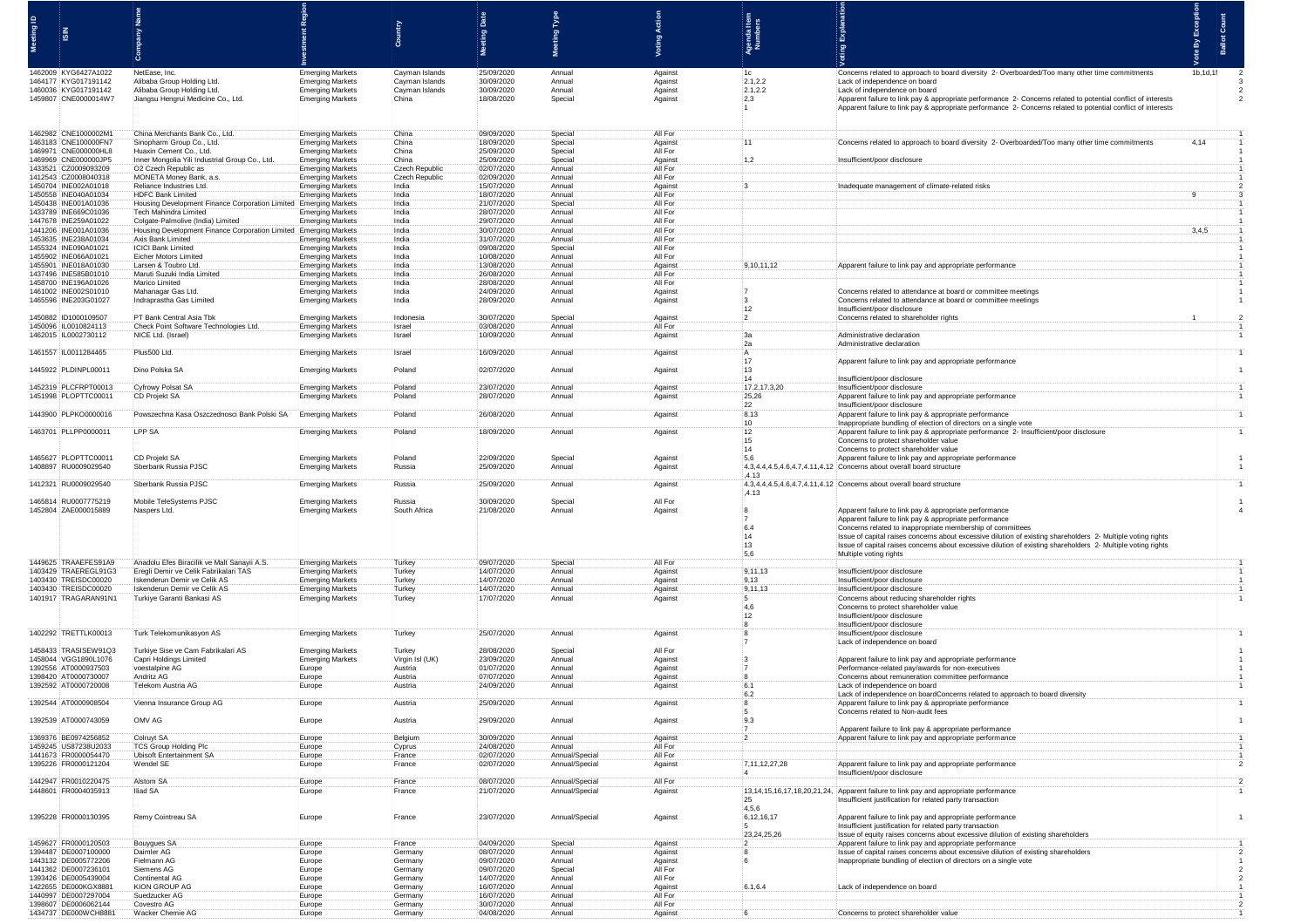|          |                                                                      |                                                                                      |                                                    |                               |                                        | Meeting Type               |                               |                          |                                                                                                                                                                                                                                                                                                                                                                                                                                                                                                          |              |  |
|----------|----------------------------------------------------------------------|--------------------------------------------------------------------------------------|----------------------------------------------------|-------------------------------|----------------------------------------|----------------------------|-------------------------------|--------------------------|----------------------------------------------------------------------------------------------------------------------------------------------------------------------------------------------------------------------------------------------------------------------------------------------------------------------------------------------------------------------------------------------------------------------------------------------------------------------------------------------------------|--------------|--|
| al puise |                                                                      |                                                                                      |                                                    |                               |                                        |                            |                               | ් සු පි                  |                                                                                                                                                                                                                                                                                                                                                                                                                                                                                                          |              |  |
|          |                                                                      |                                                                                      |                                                    |                               |                                        |                            |                               | 흥로                       |                                                                                                                                                                                                                                                                                                                                                                                                                                                                                                          | Ballot<br>्ष |  |
|          |                                                                      |                                                                                      |                                                    |                               |                                        |                            |                               |                          |                                                                                                                                                                                                                                                                                                                                                                                                                                                                                                          |              |  |
|          | 1462009 KYG6427A1022                                                 | NetEase, Inc.                                                                        | <b>Emerging Markets</b>                            | Cayman Islands                | 25/09/2020                             | Annua                      | Against                       | :1c                      | Concerns related to approach to board diversity 2- Overboarded/Too many other time com                                                                                                                                                                                                                                                                                                                                                                                                                   | 1b,1d,1f     |  |
|          | 1464177 KYG017191142                                                 | Alibaba Group Holding Ltd.                                                           | <b>Emerging Markets</b>                            | Cayman Islands                | 30/09/2020                             | Annual                     | Against                       | 2.1,2.2                  | Lack of independence on board                                                                                                                                                                                                                                                                                                                                                                                                                                                                            |              |  |
|          | 1460036 KYG017191142<br>1459807 CNE0000014W7                         | Alibaba Group Holding Ltd.<br>Jiangsu Hengrui Medicine Co., Ltd.                     | <b>Emerging Markets</b><br><b>Emerging Markets</b> | Cayman Islands<br>China       | 30/09/2020<br>18/08/2020               | Annual<br>Special          | Against<br>Against            | 2.1,2.2<br>2,3           | Lack of independence on board<br>Apparent failure to link pay & appropriate performance 2- Concerns related to potential conflict of interests                                                                                                                                                                                                                                                                                                                                                           |              |  |
|          |                                                                      |                                                                                      |                                                    |                               |                                        |                            |                               |                          | Apparent failure to link pay & appropriate performance 2- Concerns related to potential conflict of interests                                                                                                                                                                                                                                                                                                                                                                                            |              |  |
|          |                                                                      |                                                                                      |                                                    |                               |                                        |                            |                               |                          |                                                                                                                                                                                                                                                                                                                                                                                                                                                                                                          |              |  |
|          | 1462982 CNE1000002M1                                                 | China Merchants Bank Co., Ltd.                                                       | <b>Emerging Markets</b>                            | : China                       | 09/09/2020                             | Special                    | All For                       |                          |                                                                                                                                                                                                                                                                                                                                                                                                                                                                                                          |              |  |
|          | 1463183 CNE100000FN7                                                 | Sinopharm Group Co., Ltd.                                                            | <b>Emerging Markets</b>                            | China                         | 18/09/2020                             | Special                    | Against                       |                          | Concerns related to approach to board diversity 2- Overboarded/Too many other time cor                                                                                                                                                                                                                                                                                                                                                                                                                   | 4,14         |  |
|          | 1469971 CNE000000HL8                                                 | Huaxin Cement Co., Ltd.                                                              | <b>Emerging Markets</b>                            | China                         | 25/09/2020                             | Special                    | All For                       |                          |                                                                                                                                                                                                                                                                                                                                                                                                                                                                                                          |              |  |
|          | 1469969 CNE000000JP5<br>1433521 CZ0009093209                         | :Inner Mongolia Yili Industrial Group Co., Ltd.<br>O2 Czech Republic as              | <b>Emerging Markets</b><br><b>Emerging Markets</b> | China<br>Czech Republic       | 25/09/2020<br>02/07/2020               | Special<br>Annual          | Against<br>All For            |                          | Insufficient/poor disclosure                                                                                                                                                                                                                                                                                                                                                                                                                                                                             |              |  |
|          | 1412543 CZ0008040318                                                 | MONETA Money Bank, a.s.                                                              | <b>Emerging Markets</b>                            | Czech Republic                | 02/09/2020                             | Annual                     | All For                       |                          |                                                                                                                                                                                                                                                                                                                                                                                                                                                                                                          |              |  |
|          | 1450704 INE002A01018                                                 | Reliance Industries Ltd.                                                             | <b>Emerging Markets</b>                            | · India                       | 15/07/2020                             | Annual                     | Against                       |                          |                                                                                                                                                                                                                                                                                                                                                                                                                                                                                                          |              |  |
|          | 1450558 INE040A01034<br>1450438 INF001A01036                         | HDFC Bank Limited<br>Housing Development Finance Corporation Limited                 | <b>Emerging Markets</b><br><b>Emerging Markets</b> | India<br>India                | 18/07/2020<br>21/07/2020               | Annual<br>Special          | All For<br>All For            |                          |                                                                                                                                                                                                                                                                                                                                                                                                                                                                                                          |              |  |
|          | 1433789 INE669C01036                                                 | Tech Mahindra Limited                                                                | <b>Emerging Markets</b>                            | India                         | 28/07/2020                             | Annual                     | All For                       |                          |                                                                                                                                                                                                                                                                                                                                                                                                                                                                                                          |              |  |
|          | 1447678 INE259A01022<br>1441206 INE001A01036                         | Colgate-Palmolive (India) Limited<br>Housing Development Finance Corporation Limited | <b>Emerging Markets</b><br><b>Emerging Markets</b> | : India<br>India              | 29/07/2020<br>30/07/2020               | Annual<br>Annual           | All For<br>All For            |                          |                                                                                                                                                                                                                                                                                                                                                                                                                                                                                                          |              |  |
|          | 1453635 INE238A01034                                                 | Axis Bank Limited                                                                    | <b>Emerging Markets</b>                            | India                         | 31/07/2020                             | Annual                     | All For                       |                          |                                                                                                                                                                                                                                                                                                                                                                                                                                                                                                          |              |  |
|          | 1455324 INE090A01021                                                 | <b>ICICI Bank Limited</b>                                                            | <b>Emerging Markets</b>                            | India                         | 09/08/2020                             | Special                    | All For                       |                          |                                                                                                                                                                                                                                                                                                                                                                                                                                                                                                          |              |  |
|          | 1455902 INE066A01021<br>1455901 INE018A01030                         | Eicher Motors Limited<br>Larsen & Toubro Ltd.                                        | <b>Emerging Markets</b><br><b>Emerging Markets</b> | India<br>India                | 10/08/2020<br>13/08/2020               | Annual<br>Annua            | All For<br>Against            | 9, 10, 11, 12            | Apparent failure to link pay and appropriate performand                                                                                                                                                                                                                                                                                                                                                                                                                                                  |              |  |
|          | 1437496 INE585B01010                                                 | Maruti Suzuki India Limite                                                           | <b>Emerging Markets</b>                            | India                         | 26/08/2020                             | Annua                      | All For                       |                          |                                                                                                                                                                                                                                                                                                                                                                                                                                                                                                          |              |  |
|          | 1458700 INE196A01026                                                 | Marico Limited                                                                       | <b>Emerging Markets</b>                            | : India                       | 28/08/2020                             | Annual                     | All For                       |                          |                                                                                                                                                                                                                                                                                                                                                                                                                                                                                                          |              |  |
|          | 1461002 INE002S01010<br>1465596 INE203G01027                         | Mahanagar Gas Ltd.<br>Indraprastha Gas Limited                                       | <b>Emerging Markets</b><br><b>Emerging Markets</b> | India<br>India                | 24/09/2020<br>28/09/2020               | Annual<br>Annual           | Against<br>Against            |                          | Concerns related to attendance at board or committee meeting<br>Concerns related to attendance at board or committee meetings                                                                                                                                                                                                                                                                                                                                                                            |              |  |
|          |                                                                      |                                                                                      |                                                    |                               |                                        |                            |                               | $+12$                    | Insufficient/poor disclosure                                                                                                                                                                                                                                                                                                                                                                                                                                                                             |              |  |
|          | 1450882 ID1000109507                                                 | PT Bank Central Asia Tbk                                                             | <b>Emerging Markets</b>                            | Indonesia<br>Israel           | 30/07/2020<br>03/08/2020               | Special<br>Annual          | Against<br>All For            | - 2                      | Concerns related to shareholder rig                                                                                                                                                                                                                                                                                                                                                                                                                                                                      |              |  |
|          | 1450096 IL0010824113<br>1462015 IL0002730112                         | Check Point Software Technologies Ltd.<br>NICE Ltd. (Israel)                         | <b>Emerging Markets</b><br><b>Emerging Markets</b> | Israel                        | 10/09/2020                             | Annual                     | Against                       | $\alpha$                 | Administrative declaration                                                                                                                                                                                                                                                                                                                                                                                                                                                                               |              |  |
|          |                                                                      |                                                                                      |                                                    |                               |                                        |                            |                               | :2а                      | Administrative declaration                                                                                                                                                                                                                                                                                                                                                                                                                                                                               |              |  |
|          | 1461557 IL0011284465                                                 | Plus500 Ltd.                                                                         | <b>Emerging Markets</b>                            | Israel                        | 16/09/2020                             | Annual                     | Against                       | ÷Α<br>17                 | Apparent failure to link pay and appropriate performance                                                                                                                                                                                                                                                                                                                                                                                                                                                 |              |  |
|          | 1445922 PLDINPL00011                                                 | Dino Polska SA                                                                       | <b>Emerging Markets</b>                            | Poland                        | 02/07/2020                             | Annual                     | Against                       | 13                       |                                                                                                                                                                                                                                                                                                                                                                                                                                                                                                          |              |  |
|          |                                                                      |                                                                                      |                                                    |                               |                                        |                            |                               | 14                       | Insufficient/poor disclosure                                                                                                                                                                                                                                                                                                                                                                                                                                                                             |              |  |
|          | 1452319 PLCFRPT00013<br>1451998 PLOPTTC00011                         | Cyfrowy Polsat SA<br>:CD Projekt SA                                                  | <b>Emerging Markets</b><br><b>Emerging Markets</b> | Poland<br>Poland              | 23/07/2020<br>28/07/2020               | Annual<br>Annual           | Against<br>Against            | 17.2, 17.3, 20<br>:25,26 | Insufficient/poor disclosure<br>Apparent failure to link pay and appropriate performanc                                                                                                                                                                                                                                                                                                                                                                                                                  |              |  |
|          |                                                                      |                                                                                      |                                                    |                               |                                        |                            |                               |                          | Insufficient/poor disclosure                                                                                                                                                                                                                                                                                                                                                                                                                                                                             |              |  |
|          | 1443900 PLPKO0000016                                                 | Powszechna Kasa Oszczednosci Bank Polski SA                                          | <b>Emerging Markets</b>                            | Poland                        | 26/08/2020                             | Annual                     | Against                       | $\frac{22}{8.13}$        | Apparent failure to link pay & appropriate performance                                                                                                                                                                                                                                                                                                                                                                                                                                                   |              |  |
|          | 1463701 PLLPP0000011                                                 | <b>LPP SA</b>                                                                        | <b>Emerging Markets</b>                            | Poland                        | 18/09/2020                             | Annual                     | Against                       | 10<br>12                 | Inappropriate bundling of election of directors on a single vote<br>Apparent failure to link pay & appropriate performance 2- Insufficient/poor disclosur                                                                                                                                                                                                                                                                                                                                                |              |  |
|          |                                                                      |                                                                                      |                                                    |                               |                                        |                            |                               | 115                      | Concerns to protect shareholder value                                                                                                                                                                                                                                                                                                                                                                                                                                                                    |              |  |
|          |                                                                      |                                                                                      |                                                    |                               |                                        |                            |                               | 14                       | Concerns to protect shareholder value                                                                                                                                                                                                                                                                                                                                                                                                                                                                    |              |  |
|          | 1465627 PLOPTTC00011<br>1408897 RU0009029540                         | :CD Projekt SA<br>Sberbank Russia PJSC                                               | <b>Emerging Markets</b><br><b>Emerging Markets</b> | Poland<br>Russia              | 22/09/2020<br>25/09/2020               | Special<br>Annual          | Against<br>Against            | .5,6                     | Apparent failure to link pay and appropriate performanc<br>4.3,4.4,4.5,4.6,4.7,4.11,4.12 Concerns about overall board structure                                                                                                                                                                                                                                                                                                                                                                          |              |  |
|          |                                                                      |                                                                                      |                                                    |                               |                                        |                            |                               |                          |                                                                                                                                                                                                                                                                                                                                                                                                                                                                                                          |              |  |
|          |                                                                      |                                                                                      |                                                    |                               |                                        |                            |                               | .4.13                    |                                                                                                                                                                                                                                                                                                                                                                                                                                                                                                          |              |  |
|          | 1412321 RU0009029540                                                 | Sberbank Russia PJSC                                                                 | <b>Emerging Markets</b>                            | Russia                        | 25/09/2020                             | Annual                     | Against                       |                          | 4.3,4.4,4.5,4.6,4.7,4.11,4.12 Concerns about overall board structure                                                                                                                                                                                                                                                                                                                                                                                                                                     |              |  |
|          |                                                                      |                                                                                      |                                                    |                               |                                        |                            |                               | .4.13                    |                                                                                                                                                                                                                                                                                                                                                                                                                                                                                                          |              |  |
|          | 1465814 RU0007775219<br>1452804 ZAE000015889                         | Mobile TeleSystems PJSC<br>Naspers Ltd.                                              | <b>Emerging Markets</b><br><b>Emerging Markets</b> | Russia<br>South Africa        | 30/09/2020<br>21/08/2020               | Special<br>Annual          | All For<br>Against            | $\ddot{\phantom{0}}$ 8   | Apparent failure to link pay & appropriate performance                                                                                                                                                                                                                                                                                                                                                                                                                                                   |              |  |
|          |                                                                      |                                                                                      |                                                    |                               |                                        |                            |                               | $\overline{17}$          | Apparent failure to link pay & appropriate performance                                                                                                                                                                                                                                                                                                                                                                                                                                                   |              |  |
|          |                                                                      |                                                                                      |                                                    |                               |                                        |                            |                               | 6.4                      | Concerns related to inappropriate membership of committees                                                                                                                                                                                                                                                                                                                                                                                                                                               |              |  |
|          |                                                                      |                                                                                      |                                                    |                               |                                        |                            |                               | :14<br>13                | Issue of capital raises concerns about excessive dilution of existing shareholders 2- Multiple voting rights<br>Issue of capital raises concerns about excessive dilution of existing shareholders 2- Multiple voting rights                                                                                                                                                                                                                                                                             |              |  |
|          |                                                                      |                                                                                      |                                                    |                               |                                        |                            |                               | 5,6                      | Multiple voting rights                                                                                                                                                                                                                                                                                                                                                                                                                                                                                   |              |  |
|          | 1449625 TRAAEFES91A9<br>1403429 TRAEREGL91G3                         | Anadolu Efes Biracilik ve Malt Sanayii A.S.<br>Eregli Demir ve Celik Fabrikalari TAS | <b>Emerging Markets</b><br><b>Emerging Markets</b> | Turkey<br>Turkey              | 09/07/2020<br>14/07/2020               | Special<br>Annual          | All For<br>Against            | 9,11,13                  | Insufficient/poor disclosure                                                                                                                                                                                                                                                                                                                                                                                                                                                                             |              |  |
|          | 1403430 TREISDC00020                                                 | Iskenderun Demir ve Celik AS                                                         | <b>Emerging Markets</b>                            | Turkey                        | 14/07/2020                             | Annual                     | Against                       | 9,13                     | Insufficient/poor disclosure                                                                                                                                                                                                                                                                                                                                                                                                                                                                             |              |  |
|          | 1403430 TREISDC00020                                                 | Iskenderun Demir ve Celik AS                                                         | <b>Emerging Markets</b>                            | Turkey                        | 14/07/2020                             | Annual                     | Against                       | 19, 11, 13               | Insufficient/poor disclosure                                                                                                                                                                                                                                                                                                                                                                                                                                                                             |              |  |
|          | 1401917 TRAGARAN91N1                                                 | Turkiye Garanti Bankasi AS                                                           | <b>Emerging Markets</b>                            | Turkey                        | 17/07/2020                             | Annual                     | Against                       | - 5                      | Concerns about reducing shareholder rights                                                                                                                                                                                                                                                                                                                                                                                                                                                               |              |  |
|          |                                                                      |                                                                                      |                                                    |                               |                                        |                            |                               | .4,6<br>12               | Concerns to protect shareholder value<br>Insufficient/poor disclosure                                                                                                                                                                                                                                                                                                                                                                                                                                    |              |  |
|          |                                                                      |                                                                                      |                                                    |                               |                                        |                            |                               | $\overline{\mathbf{3}}$  | Insufficient/poor disclosure                                                                                                                                                                                                                                                                                                                                                                                                                                                                             |              |  |
|          | 1402292 TRETTLK00013                                                 | Turk Telekomunikasyon AS                                                             | <b>Emerging Markets</b>                            | Turkey                        | 25/07/2020                             | Annual                     | Against                       |                          | Insufficient/poor disclosure<br>Lack of independence on board                                                                                                                                                                                                                                                                                                                                                                                                                                            |              |  |
|          | 1458433 TRASISEW91Q3                                                 | Turkiye Sise ve Cam Fabrikalari AS                                                   | <b>Emerging Markets</b>                            | Turkey                        | 28/08/2020                             | Special                    | All For                       |                          |                                                                                                                                                                                                                                                                                                                                                                                                                                                                                                          |              |  |
|          | 1458044 VGG1890L1076                                                 | Capri Holdings Limited                                                               | <b>Emerging Markets</b>                            | Virgin Isl (Ul                | 23/09/2020                             | Annual                     | Against                       |                          | Apparent failure to link pay and appropriate performanc                                                                                                                                                                                                                                                                                                                                                                                                                                                  |              |  |
|          | 1392556 AT0000937503<br>1398420 AT0000730007                         | voestalpine AG<br>Andritz AG                                                         | Europe<br>Europe                                   | Austria<br>Austria            | 01/07/2020<br>07/07/2020               | Annual<br>Annual           | Against<br>Against            |                          | Performance-related pay/awards for non-executives<br>Concerns about remuneration committee performance                                                                                                                                                                                                                                                                                                                                                                                                   |              |  |
|          | 1392592 AT0000720008                                                 | Telekom Austria AG                                                                   | Europe                                             | Austria                       | 24/09/2020                             | Annual                     | Against                       | 6.1                      | Lack of independence on board                                                                                                                                                                                                                                                                                                                                                                                                                                                                            |              |  |
|          | 1392544 AT0000908504                                                 | Vienna Insurance Group AC                                                            | Europe                                             | Austria                       | 25/09/2020                             | Annua                      |                               | 6.2                      | Lack of independence on boardConcerns related to approach to board diversity<br>Apparent failure to link pay & appropriate performance                                                                                                                                                                                                                                                                                                                                                                   |              |  |
|          |                                                                      |                                                                                      |                                                    |                               |                                        |                            | Against                       | $\frac{1}{2}$            | Concerns related to Non-audit fees                                                                                                                                                                                                                                                                                                                                                                                                                                                                       |              |  |
|          | 1392539 AT0000743059                                                 | OMV AG                                                                               | Europe                                             | Austria                       | 29/09/2020                             | Annual                     | Against                       | 9.3                      |                                                                                                                                                                                                                                                                                                                                                                                                                                                                                                          |              |  |
|          | 1369376 BE0974256852                                                 | Colruyt SA                                                                           | Europe                                             | Belgium                       | 30/09/2020                             | Annual                     | Against                       | 17<br>-2                 | Apparent failure to link pay & appropriate performance<br>Apparent failure to link pay and appropriate performance                                                                                                                                                                                                                                                                                                                                                                                       |              |  |
|          | 1459245 US87238U2033                                                 | TCS Group Holding Plc                                                                | Europe                                             | Cyprus                        | 24/08/2020                             | Annual                     | All For                       |                          |                                                                                                                                                                                                                                                                                                                                                                                                                                                                                                          |              |  |
|          | 1441673 FR0000054470                                                 | Ubisoft Entertainment S                                                              | Europe                                             | France                        | 02/07/2020                             | Annual/Special             | All For                       |                          |                                                                                                                                                                                                                                                                                                                                                                                                                                                                                                          |              |  |
|          | 1395226 FR0000121204                                                 | Wendel SE                                                                            | Europe                                             | France                        | 02/07/2020                             | Annual/Special             | Against                       | 7,11,12,27,28            | Apparent failure to link pay and appropriate performanc                                                                                                                                                                                                                                                                                                                                                                                                                                                  |              |  |
|          | 1442947 FR0010220475                                                 | <b>Alstom SA</b>                                                                     | Europe                                             | France                        | 08/07/2020                             | Annual/Special             | All For                       | $\ddot{.}4$              | Insufficient/poor disclosure                                                                                                                                                                                                                                                                                                                                                                                                                                                                             |              |  |
|          | 1448601 FR0004035913                                                 | Iliad SA                                                                             | Europe                                             | France                        | 21/07/2020                             | Annual/Special             | Against                       |                          | 13,14,15,16,17,18,20,21,24, Apparent failure to link pay and appropriate performanc                                                                                                                                                                                                                                                                                                                                                                                                                      |              |  |
|          |                                                                      |                                                                                      |                                                    |                               |                                        |                            |                               | :25<br>4,5,6             | Insufficient justification for related party transaction                                                                                                                                                                                                                                                                                                                                                                                                                                                 |              |  |
|          | 1395228 FR0000130395                                                 | Remy Cointreau SA                                                                    | Europe                                             | France                        | 23/07/2020                             | Annual/Special             | Against                       | 6, 12, 16, 17            | Apparent failure to link pay and appropriate performance                                                                                                                                                                                                                                                                                                                                                                                                                                                 |              |  |
|          |                                                                      |                                                                                      |                                                    |                               |                                        |                            |                               | -5                       | Insufficient justification for related party transaction                                                                                                                                                                                                                                                                                                                                                                                                                                                 |              |  |
|          | 1459627 FR0000120503                                                 | Bouygues SA                                                                          | Europe                                             | France                        | 04/09/2020                             | Special                    | Against                       | 23,24,25,26              | Issue of equity raises concerns about excessive dilution of existing shareho<br>Apparent failure to link pay and appropriate performance                                                                                                                                                                                                                                                                                                                                                                 |              |  |
|          | 1394487 DE0007100000                                                 | Daimler AG                                                                           | Europe                                             | Germany                       | 08/07/2020                             | Annual                     | Against                       |                          | Issue of capital raises concerns about excessive dilution of existing shareho                                                                                                                                                                                                                                                                                                                                                                                                                            |              |  |
|          | 1443132 DE0005772206<br>1441362 DE0007236101                         | Fielmann AG<br>Siemens AG                                                            | Europe                                             | Germany                       | 09/07/2020<br>09/07/2020               | Annual<br>Special          | Against<br>All For            |                          | Inappropriate bundling of election of directors on a single vote                                                                                                                                                                                                                                                                                                                                                                                                                                         |              |  |
|          | 1393426 DE0005439004                                                 | Continental AG                                                                       | Europe<br>Europe                                   | Germany<br>Germany            | 14/07/2020                             | Annual                     | All For                       |                          |                                                                                                                                                                                                                                                                                                                                                                                                                                                                                                          |              |  |
|          | 1422655 DE000KGX8881                                                 | KION GROUP AG                                                                        | Europe                                             | :Germany                      | 16/07/2020                             | Annual                     | Against                       |                          | Lack of independence on b                                                                                                                                                                                                                                                                                                                                                                                                                                                                                |              |  |
|          | 1440997 DE0007297004<br>1398607 DE0006062144<br>1434737 DE000WCH8881 | Suedzucker AG<br>Covestro AG<br>Wacker Chemie AG                                     | Europe<br>Europe<br>Europe                         | Germany<br>Germany<br>Germany | 16/07/2020<br>30/07/2020<br>04/08/2020 | Annual<br>Annual<br>Annual | All For<br>All For<br>Against |                          | $\label{eq:conformal} \begin{split} \mathbf{a} & \mapsto \mathbf{a} \cdot \mathbf{a} + \mathbf{a} \cdot \mathbf{a} + \mathbf{a} \cdot \mathbf{a} + \mathbf{a} \cdot \mathbf{a} + \mathbf{a} \cdot \mathbf{a} + \mathbf{a} \cdot \mathbf{a} + \mathbf{a} \cdot \mathbf{a} + \mathbf{a} \cdot \mathbf{a} + \mathbf{a} \cdot \mathbf{a} + \mathbf{a} \cdot \mathbf{a} + \mathbf{a} \cdot \mathbf{a} + \mathbf{a} \cdot \mathbf{a} + \mathbf{a} \cdot \mathbf{a} + \$<br>Concerns to protect shareholder val |              |  |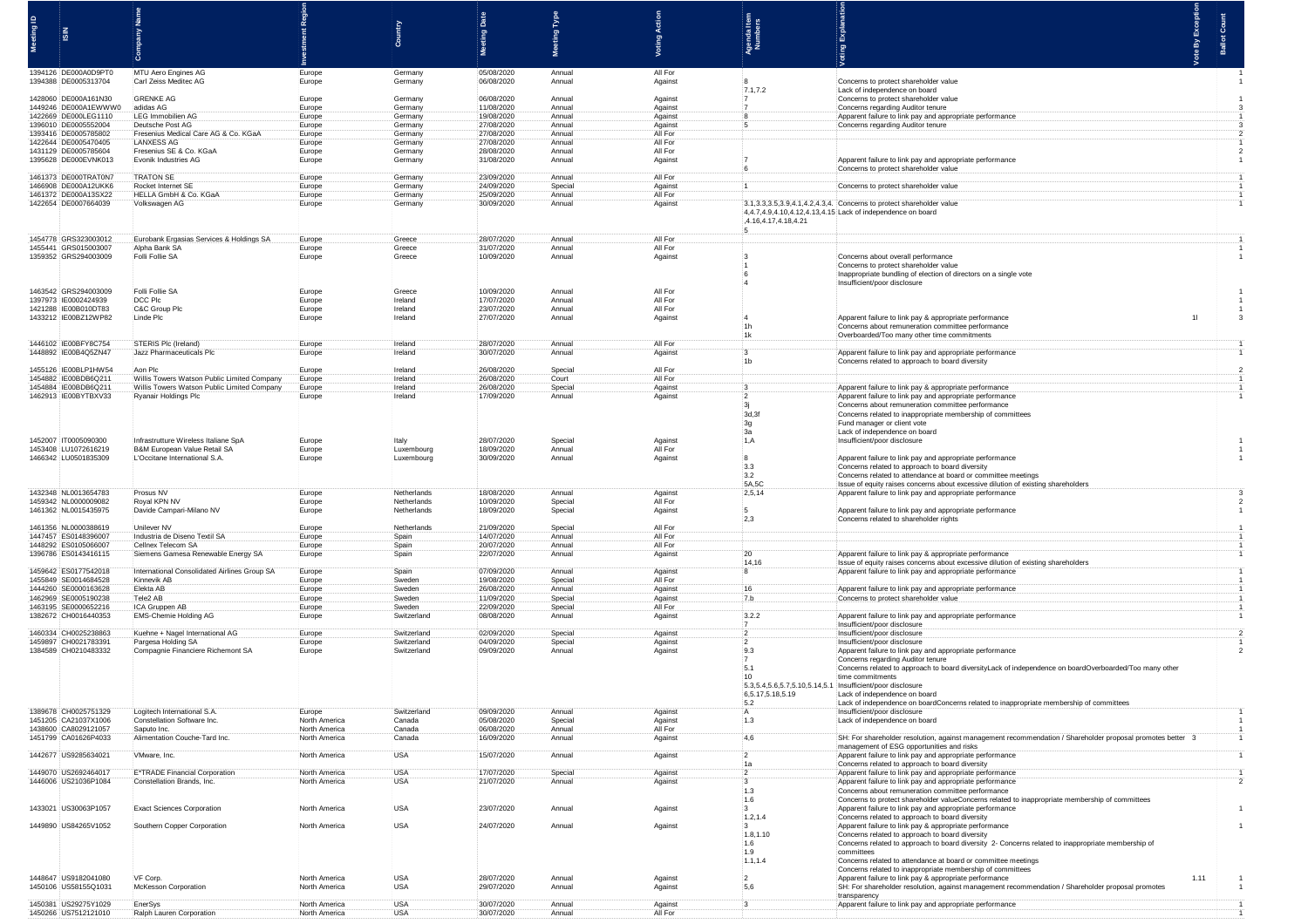|                                              |                                                             |                                |                            |                          | $\frac{9}{2}$     |                    |                                                            |                                                                                                                                                            |  |  |
|----------------------------------------------|-------------------------------------------------------------|--------------------------------|----------------------------|--------------------------|-------------------|--------------------|------------------------------------------------------------|------------------------------------------------------------------------------------------------------------------------------------------------------------|--|--|
| ∣ Ø                                          |                                                             |                                |                            | ting                     | leg<br>∣ğ         |                    | ම දි<br>g <i>로</i>                                         |                                                                                                                                                            |  |  |
|                                              |                                                             |                                |                            |                          |                   |                    |                                                            |                                                                                                                                                            |  |  |
| 1394126 DE000A0D9PT0<br>1394388 DE0005313704 | MTU Aero Engines AG<br>Carl Zeiss Meditec AG                | Europe<br>Europe               | : Germany<br>Germany       | 05/08/2020<br>06/08/2020 | Annual<br>Annual  | All For<br>Against |                                                            | Concerns to protect shareholder value                                                                                                                      |  |  |
|                                              |                                                             |                                |                            |                          |                   |                    | 7.1,7.2                                                    | Lack of independence on board                                                                                                                              |  |  |
| 1428060 DE000A161N30<br>1449246 DE000A1EWWW0 | <b>GRENKE AG</b><br>adidas AG                               | Europe<br>Europe               | Germany<br>Germany         | 06/08/2020<br>11/08/2020 | Annual<br>Annual  | Against<br>Against | :7                                                         | Concerns to protect shareholder value<br>Concerns regarding Auditor tenure                                                                                 |  |  |
| 1422669 DE000LEG1110                         | <b>LEG Immobilien AG</b>                                    | Europe                         | Germany                    | 19/08/2020               | Annual            | Against            |                                                            | Apparent failure to link pay and appropriate performan                                                                                                     |  |  |
| 1396010 DE0005552004<br>1393416 DE0005785802 | Deutsche Post AG<br>Fresenius Medical Care AG & Co. KGa     | Europe<br>Europe               | Germany<br>:Germany        | 27/08/2020<br>27/08/2020 | Annual<br>Annual  | Against<br>All For |                                                            | Concerns regarding Auditor tenure                                                                                                                          |  |  |
| 1422644 DE0005470405                         | <b>LANXESS AG</b>                                           | Europe                         | Germany                    | 27/08/2020               | Annual            | All For            |                                                            |                                                                                                                                                            |  |  |
| 1431129 DE0005785604<br>1395628 DE000EVNK013 | Fresenius SE & Co. KGaA<br><b>Evonik Industries AG</b>      | Europe<br>Europe               | Germany                    | 28/08/2020<br>31/08/2020 | Annual            | All For            |                                                            | Apparent failure to link pay and appropriate perfo                                                                                                         |  |  |
|                                              |                                                             |                                | :Germany                   |                          | : Annual          | Against            |                                                            | Concerns to protect shareholder value                                                                                                                      |  |  |
| 1461373 DE000TRAT0N7                         | <b>TRATON SE</b>                                            | Europe                         | Germany                    | 23/09/2020               | Annual            | All For            |                                                            |                                                                                                                                                            |  |  |
| 1466908 DE000A12UKK6<br>1461372 DE000A13SX22 | Rocket Internet SE<br>HELLA GmbH & Co. KGaA                 | Europe<br>Europe               | Germany<br>Germany         | 24/09/2020<br>25/09/2020 | Special<br>Annual | Against<br>All For |                                                            | Concerns to protect shareholder valu                                                                                                                       |  |  |
| 1422654 DE0007664039                         | Volkswagen AG                                               | Europe                         | Germany                    | 30/09/2020               | Annual            | Against            |                                                            | 3.1, 3.3, 3.5, 3.9, 4.1, 4.2, 4.3, 4. Concerns to protect shareholder value                                                                                |  |  |
|                                              |                                                             |                                |                            |                          |                   |                    | 4.16,4.17,4.18,4.21                                        | 4,4.7,4.9,4.10,4.12,4.13,4.15 Lack of independence on board                                                                                                |  |  |
| 1454778 GRS323003012<br>1455441 GRS015003007 | Eurobank Ergasias Services & Holdings SA<br>Alpha Bank SA   | Europe<br>:Europe              | Greece<br>Greece           | 28/07/2020<br>31/07/2020 | Annual<br>Annual  | All For<br>All For |                                                            |                                                                                                                                                            |  |  |
| 1359352 GRS294003009                         | Folli Follie SA                                             | Europe                         | Greece                     | 10/09/2020               | Annual            | Against            |                                                            | Concerns about overall performance                                                                                                                         |  |  |
|                                              |                                                             |                                |                            |                          |                   |                    |                                                            | Concerns to protect shareholder value<br>Inappropriate bundling of election of directors on a single vote                                                  |  |  |
|                                              |                                                             |                                |                            |                          |                   |                    |                                                            | Insufficient/poor disclosure                                                                                                                               |  |  |
| 1463542 GRS294003009<br>1397973 IE0002424939 | Folli Follie SA<br>DCC Plc                                  | Europe<br>Europe               | Greece<br>Ireland          | 10/09/2020<br>17/07/2020 | Annual<br>Annual  | All For<br>All For |                                                            |                                                                                                                                                            |  |  |
| 1421288 IE00B010DT83                         | C&C Group Plc                                               | :Europe                        | : Ireland                  | 23/07/2020               | Annual            | All For            |                                                            |                                                                                                                                                            |  |  |
| 1433212 IE00BZ12WP82                         | Linde Plc                                                   | Europe                         | Ireland                    | 27/07/2020               | Annual            | Against            |                                                            | Apparent failure to link pay & appropriate performance<br>Concerns about remuneration committee performance                                                |  |  |
|                                              |                                                             |                                |                            |                          |                   |                    |                                                            | Overboarded/Too many other time commitmen                                                                                                                  |  |  |
| 1446102 IE00BFY8C754<br>1448892 IE00B4Q5ZN47 | STERIS Plc (Ireland)<br>Jazz Pharmaceuticals Plo            | Europe<br>Europe               | Ireland<br>Ireland         | 28/07/2020<br>30/07/2020 | Annual<br>Annual  | All For<br>Against |                                                            | Apparent failure to link pay and appropriate perfor                                                                                                        |  |  |
|                                              |                                                             |                                |                            |                          |                   |                    |                                                            | Concerns related to approach to board diversity                                                                                                            |  |  |
| 1455126 IE00BLP1HW54<br>1454882 IE00BDB6Q211 | Aon Plc<br>Willis Towers Watson Public Limited Company      | Europe<br>Europe               | Ireland<br>Ireland         | 26/08/2020<br>26/08/2020 | Special<br>Court  | All For<br>All For |                                                            |                                                                                                                                                            |  |  |
| 1454884 IE00BDB6Q211                         | Willis Towers Watson Public Limited Company                 | Europe                         | Ireland                    | 26/08/2020               | Special           | Against            |                                                            | Apparent failure to link pay & appropriate performance                                                                                                     |  |  |
| 1462913 IE00BYTBXV33                         | Ryanair Holdings Plc                                        | :Europe                        | Ireland                    | 17/09/2020               | Annual            | Against            | - 12<br>:3i                                                | Apparent failure to link pay and appropriate performance<br>Concerns about remuneration committee performance                                              |  |  |
|                                              |                                                             |                                |                            |                          |                   |                    | 3d, 3f                                                     | Concerns related to inappropriate membership of committees                                                                                                 |  |  |
|                                              |                                                             |                                |                            |                          |                   |                    | 3g                                                         | Fund manager or client vote<br>Lack of independence on board                                                                                               |  |  |
| 1452007 IT0005090300                         | Infrastrutture Wireless Italiane SpA                        | Europe                         | Italy                      | 28/07/2020               | Special           | Against            | :3a<br>1, A                                                | Insufficient/poor disclosure                                                                                                                               |  |  |
| 1453408 LU1072616219                         | B&M European Value Retail SA                                | Europe                         | Luxembourg                 | 18/09/2020               | Annual            | All For            | $\frac{1}{2}8$                                             |                                                                                                                                                            |  |  |
| 1466342 LU0501835309                         | :L'Occitane International S.A.                              | :Europe                        | : Luxembourg               | 30/09/2020               | Annual            | Against            | 3.3                                                        | Apparent failure to link pay and appropriate performance<br>Concerns related to approach to board diversity                                                |  |  |
|                                              |                                                             |                                |                            |                          |                   |                    | 3.2                                                        | Concerns related to attendance at board or committee meetings                                                                                              |  |  |
| 1432348 NL0013654783                         | Prosus NV                                                   | Europe                         | Netherlands                | 18/08/2020               | Annual            | Against            | 5A,5C<br>2,5,14                                            | Issue of equity raises concerns about excessive dilution of existing shareholde<br>Apparent failure to link pay and appropriate performance                |  |  |
| 1459342 NL0000009082                         | Royal KPN NV                                                | Europe                         | Netherlands                | 10/09/2020               | Special           | All For            |                                                            |                                                                                                                                                            |  |  |
| 1461362 NL0015435975                         | Davide Campari-Milano NV                                    | Europe                         | Netherlands                | 18/09/2020               | Special           | Against            | $\cdot$ 5<br>2,3                                           | Apparent failure to link pay and appropriate perfor<br>Concerns related to shareholder rights                                                              |  |  |
| 1461356 NL0000388619<br>1447457 ES0148396007 | Unilever NV                                                 | Europe                         | Netherlands                | 21/09/2020               | Special           | All For<br>All For |                                                            |                                                                                                                                                            |  |  |
| 1448292 ES0105066007                         | Industria de Diseno Textil SA<br>Cellnex Telecom SA         | Europe<br>Europe               | Spain<br>Spain             | 14/07/2020<br>20/07/2020 | Annual<br>Annual  | All For            |                                                            |                                                                                                                                                            |  |  |
| 1396786 ES0143416115                         | Siemens Gamesa Renewable Energy SA                          | Europe                         | Spain                      | 22/07/2020               | Annual            | Against            | 20                                                         | Apparent failure to link pay & appropriate performance                                                                                                     |  |  |
| 1459642 ES0177542018                         | International Consolidated Airlines Group SA                | Europe                         | Spain                      | 07/09/2020               | Annual            | Against            | 14,16                                                      | Issue of equity raises concerns about excessive dilution of existing shareholde<br>Apparent failure to link pay and appropriate performance                |  |  |
| 1455849 SE0014684528                         | Kinnevik AB                                                 | Europe                         | Sweden                     | 19/08/2020               | Special           | All For            | 16                                                         |                                                                                                                                                            |  |  |
| 1444260 SE0000163628<br>1462969 SE0005190238 | Elekta AB<br>Tele2 AB                                       | Europe<br>Europe               | Sweden<br>Sweden           | 26/08/2020<br>11/09/2020 | Annual<br>Special | Against<br>Against | 7.b                                                        | Apparent failure to link pay and appropriate performant<br>Concerns to protect shareholder value                                                           |  |  |
| 1463195 :SE0000652216                        | ICA Gruppen AB                                              | Europe                         | Sweden                     | 22/09/2020               | Special           | All For            |                                                            |                                                                                                                                                            |  |  |
| 1382672 CH0016440353                         | EMS-Chemie Holding AG                                       | Europe                         | Switzerland                | 08/08/2020               | Annual            | Against            | 3.2.2<br>- 7                                               | Apparent failure to link pay and appropriate perform<br>Insufficient/poor disclosure                                                                       |  |  |
| 1460334 CH0025238863                         | Kuehne + Nagel International AG                             | Europe                         | Switzerland                | 02/09/2020               | Special           | Against            |                                                            | Insufficient/poor disclosure                                                                                                                               |  |  |
| 1459897 CH0021783391<br>1384589 CH0210483332 | Pargesa Holding SA<br>:Compagnie Financiere Richemont SA    | Europe<br>Europe               | Switzerland<br>Switzerland | 04/09/2020<br>09/09/2020 | Special<br>Annual | Against<br>Against | -2<br>9.3                                                  | Insufficient/poor disclosure<br>Apparent failure to link pay and appropriate performance                                                                   |  |  |
|                                              |                                                             |                                |                            |                          |                   |                    | $\frac{1}{2}$                                              | Concerns regarding Auditor tenure                                                                                                                          |  |  |
|                                              |                                                             |                                |                            |                          |                   |                    | 5.1<br>:10                                                 | Concerns related to approach to board diversityLack of independence on boardOverboarded/Too many other<br>time commitments                                 |  |  |
|                                              |                                                             |                                |                            |                          |                   |                    | 5.3,5.4,5.6,5.7,5.10,5.14,5.1 Insufficient/poor disclosure |                                                                                                                                                            |  |  |
|                                              |                                                             |                                |                            |                          |                   |                    | 6,5.17,5.18,5.19<br>5.2                                    | Lack of independence on board<br>Lack of independence on boardConcerns related to inappropriate membership of committees                                   |  |  |
| 1389678 CH0025751329                         | Logitech International S.A.                                 | Europe                         | Switzerland                | 09/09/2020               | Annual            | Against            | ΪA                                                         | Insufficient/poor disclosure                                                                                                                               |  |  |
| 1451205 CA21037X1006<br>1438600 CA8029121057 | Constellation Software Inc.<br>Saputo Inc.                  | North America<br>North America | Canada<br>Canada           | 05/08/2020<br>06/08/2020 | Special<br>Annual | Against<br>All For | 1.3                                                        | Lack of independence on board                                                                                                                              |  |  |
| 1451799 CA01626P4033                         | Alimentation Couche-Tard Inc                                | North America                  | Canada                     | 16/09/2020               | Annual            | Against            | 4,6                                                        | SH: For shareholder resolution, against management recommendation / Shareholder proposal promotes better                                                   |  |  |
| 1442677 US9285634021                         | VMware, Inc.                                                | North America                  | <b>USA</b>                 | 15/07/2020               | Annual            | Against            | 12                                                         | management of ESG opportunities and risks<br>Apparent failure to link pay and appropriate performanc                                                       |  |  |
|                                              |                                                             |                                |                            |                          |                   |                    | 1a                                                         | Concerns related to approach to board diversity                                                                                                            |  |  |
| 1449070 US2692464017<br>1446006 US21036P1084 | E*TRADE Financial Corporation<br>Constellation Brands, Inc. | North America<br>North America | <b>USA</b><br><b>USA</b>   | 17/07/2020<br>21/07/2020 | Special<br>Annual | Against<br>Against | $\frac{1}{2}$<br>13                                        | Apparent failure to link pay and appropriate performan<br>Apparent failure to link pay and appropriate performanc                                          |  |  |
|                                              |                                                             |                                |                            |                          |                   |                    | 1.3                                                        | Concerns about remuneration committee performance                                                                                                          |  |  |
| 1433021 US30063P1057                         | <b>Exact Sciences Corporation</b>                           | North America                  | USA                        | 23/07/2020               | Annual            | Against            | 1.6<br>- 3                                                 | Concerns to protect shareholder valueConcerns related to inappropriate membership of committee<br>Apparent failure to link pay and appropriate performance |  |  |
|                                              |                                                             |                                |                            |                          |                   |                    | 1.2, 1.4                                                   | Concerns related to approach to board diversity                                                                                                            |  |  |
| 1449890 US84265V1052                         | Southern Copper Corporation                                 | North America                  | <b>USA</b>                 | 24/07/2020               | Annual            | Against            | $\cdot$ 3                                                  | Apparent failure to link pay & appropriate performance                                                                                                     |  |  |
|                                              |                                                             |                                |                            |                          |                   |                    | 1.8, 1.10<br>1.6                                           | Concerns related to approach to board diversity<br>Concerns related to approach to board diversity 2- Concerns related to inappropriate membership of      |  |  |
|                                              |                                                             |                                |                            |                          |                   |                    | 1.9                                                        | committees                                                                                                                                                 |  |  |
|                                              |                                                             |                                |                            |                          |                   |                    | 1.1, 1.4                                                   | Concerns related to attendance at board or committee meetings<br>Concerns related to inappropriate membership of committees                                |  |  |
| 1448647 US9182041080                         | VF Corp.                                                    | North America                  | <b>USA</b>                 | 28/07/2020               | Annual            | Against            |                                                            | Apparent failure to link pay & appropriate performance                                                                                                     |  |  |
| 1450106 US58155Q1031                         | McKesson Corporation                                        | North America                  | :USA                       | 29/07/2020               | Annual            | Against            | .5.6                                                       | SH: For shareholder resolution, against management recommendation / Shareholder proposal promote<br>transparency                                           |  |  |
| 1450381 US29275Y1029<br>1450266 US7512121010 | EnerSys<br>Ralph Lauren Corporation                         | North America<br>North America | <b>USA</b><br><b>USA</b>   | 30/07/2020<br>30/07/2020 | Annual<br>Annual  | Against<br>All For |                                                            | transparency<br>Apparent failure to link pay and appropriate performance                                                                                   |  |  |
|                                              |                                                             |                                |                            |                          |                   |                    |                                                            |                                                                                                                                                            |  |  |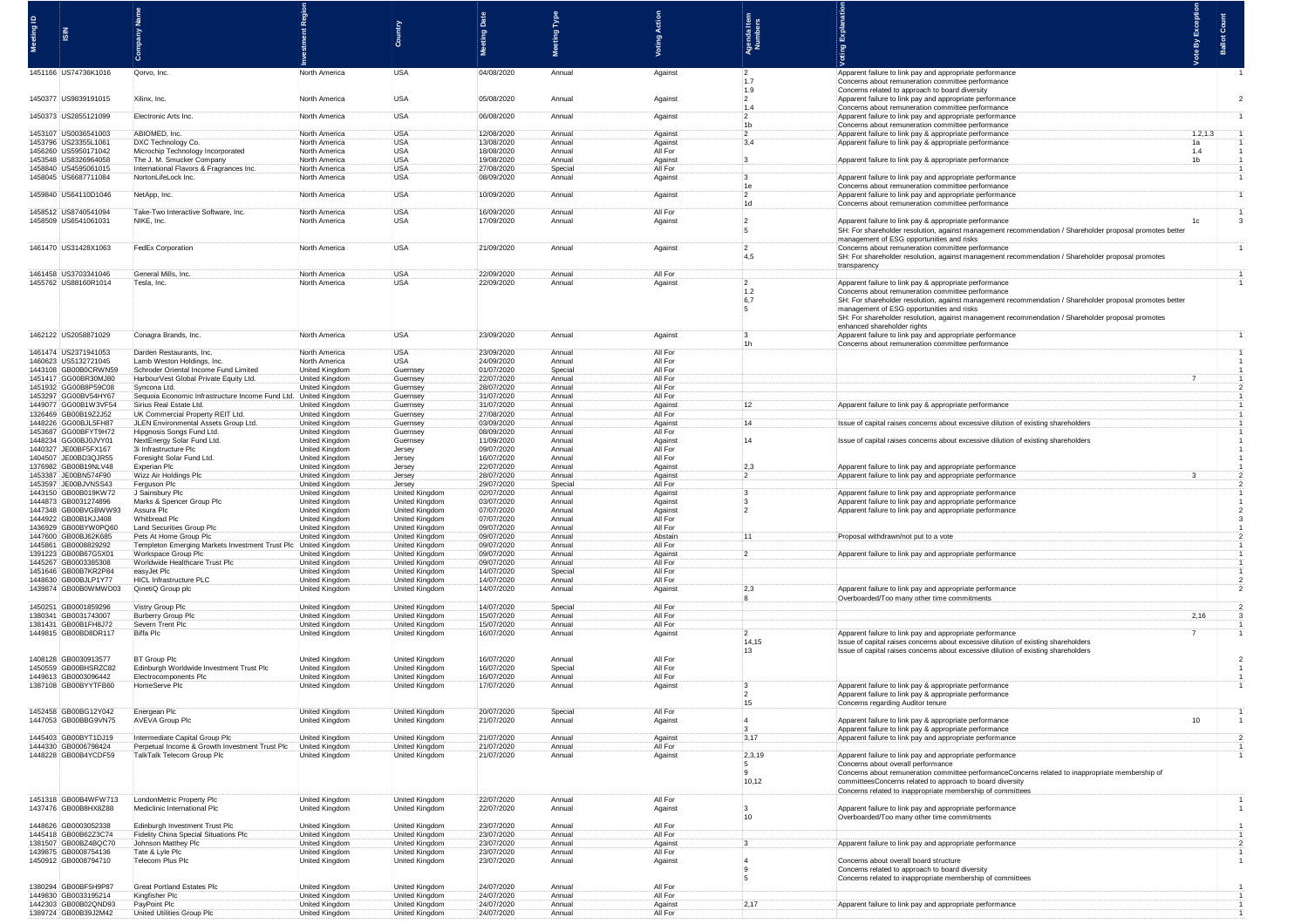| Meeting ID<br>$rac{2}{5}$                           |                                                                                  |                                                |                                                | ់ធ្វើ<br><b>Pa</b>       | Meeting Type      |                     |                         |                                                                                                                                                                          |
|-----------------------------------------------------|----------------------------------------------------------------------------------|------------------------------------------------|------------------------------------------------|--------------------------|-------------------|---------------------|-------------------------|--------------------------------------------------------------------------------------------------------------------------------------------------------------------------|
|                                                     |                                                                                  |                                                |                                                |                          |                   |                     | 。<br>동 <i>로</i>         |                                                                                                                                                                          |
|                                                     |                                                                                  |                                                |                                                |                          |                   |                     |                         |                                                                                                                                                                          |
| 1451166 US74736K1016                                | :Qorvo, Inc.                                                                     | North America                                  | :USA                                           | 04/08/2020               | Annual            | Against             | $\cdot$ 2<br>$-1.7$     | Apparent failure to link pay and appropriate performance<br>Concerns about remuneration committee performance                                                            |
| 1450377 US9839191015                                | Xilinx, Inc.                                                                     | North America                                  | USA                                            | 05/08/2020               | Annua             | Against             | 1.9<br>$\frac{1}{2}$    | Concerns related to approach to board diversity<br>Apparent failure to link pay and appropriate performance                                                              |
| 1450373 US2855121099                                | Electronic Arts Inc.                                                             | North America                                  | <b>USA</b>                                     | 06/08/2020               | Annual            | Against             | 1.4<br>- 12             | Concerns about remuneration committee performance<br>Apparent failure to link pay and appropriate performance                                                            |
|                                                     |                                                                                  |                                                | <b>USA</b>                                     |                          | Annua             |                     | 1 <sub>b</sub>          | Concerns about remuneration committee performance<br>1.2, 1.3                                                                                                            |
| 1453107 US0036541003<br>1453796 US23355L1061        | :ABIOMED, Inc.<br>DXC Technology Co.                                             | North America<br>North America                 | <b>USA</b>                                     | 12/08/2020<br>13/08/2020 | Annual            | Against<br>Against  | $\ddot{2}$<br>3,4       | Apparent failure to link pay & appropriate performance<br>Apparent failure to link pay & appropriate performance                                                         |
| 1456260 US5950171042<br>1453548 US8326964058        | Microchip Technology Incorporate<br>The J. M. Smucker Company                    | North America<br>North America                 | <b>USA</b><br><b>USA</b>                       | 18/08/2020<br>19/08/2020 | Annua<br>Annual   | All For<br>Against  |                         | 1.4<br>Apparent failure to link pay & appropriate performance<br>1 <sub>b</sub>                                                                                          |
| 1458840 US4595061015<br>1458045 US6687711084        | International Flavors & Fragrances Inc.<br>NortonLifeLock Inc.                   | North America<br>North America                 | USA<br>USA                                     | 27/08/2020<br>08/09/2020 | Special<br>Annual | All For<br>Against  |                         | Apparent failure to link pay and appropriate performance                                                                                                                 |
| 1459840 US64110D1046                                | NetApp, Inc.                                                                     | North America                                  | :USA                                           | 10/09/2020               | Annual            | Against             | - 12                    | Concerns about remuneration committee performance<br>Apparent failure to link pay and appropriate performance                                                            |
| 1458512 US8740541094                                | Take-Two Interactive Software, Inc.                                              | North America                                  | <b>USA</b>                                     | 16/09/2020               | Annual            | All For             | 1d                      | Concerns about remuneration committee performance                                                                                                                        |
| 1458509 US6541061031                                | NIKE, Inc.                                                                       | North America                                  | <b>USA</b>                                     | 17/09/2020               | Annual            | Against             |                         | Apparent failure to link pay & appropriate performance                                                                                                                   |
|                                                     |                                                                                  |                                                |                                                |                          |                   |                     | $\overline{2}$          | SH: For shareholder resolution, against management recommendation / Shareholder proposal promotes bette<br>management of ESG opportunities and risks                     |
| 1461470 US31428X1063                                | FedEx Corporation                                                                | North America                                  | <b>USA</b>                                     | 21/09/2020               | Annual            | Against             | $-4,5$                  | Concerns about remuneration committee performance<br>SH: For shareholder resolution, against management recommendation / Shareholder proposal promotes                   |
| 1461458 US3703341046                                | General Mills, Inc.                                                              | North America                                  | <b>USA</b>                                     | 22/09/2020               | Annual            | All For             |                         | transparen                                                                                                                                                               |
| 1455762 US88160R1014                                | Tesla, Inc.                                                                      | North America                                  | <b>USA</b>                                     | 22/09/2020               | Annual            | Against             | $\overline{2}$<br>1.2   | Apparent failure to link pay & appropriate performand<br>Concerns about remuneration committee performance                                                               |
|                                                     |                                                                                  |                                                |                                                |                          |                   |                     | 6,7<br>÷5               | SH: For shareholder resolution, against management recommendation / Shareholder proposal promotes better<br>management of ESG opportunities and risks                    |
|                                                     |                                                                                  |                                                |                                                |                          |                   |                     |                         | SH: For shareholder resolution, against management recommendation / Shareholder proposal promotes<br>enhanced shareholder rights                                         |
| 1462122 US2058871029                                | Conagra Brands, Inc.                                                             | North America                                  | <b>USA</b>                                     | 23/09/2020               | Annua             | Against             |                         | Apparent failure to link pay and appropriate performance<br>Concerns about remuneration committee performance                                                            |
| 1461474 US2371941053                                | Darden Restaurants, Inc.                                                         | North America                                  | <b>USA</b>                                     | 23/09/2020               | Annual            | All For             |                         |                                                                                                                                                                          |
| 1460623 US5132721045<br>1443108 GB00B0CRWN59        | Lamb Weston Holdings, Inc.<br>Schroder Oriental Income Fund Limited              | North America<br>United Kingdom                | <b>USA</b><br>Guernsey                         | 24/09/2020<br>01/07/2020 | Annual<br>Special | All For<br>All For  |                         |                                                                                                                                                                          |
| 1451417 GG00BR30MJ80<br>1451932 GG00B8P59C08        | HarbourVest Global Private Equity Ltd.<br>Syncona Ltd.                           | <b>United Kingdom</b><br>United Kingdom        | Guernsey<br>Guernsey                           | 22/07/2020<br>28/07/2020 | Annual<br>Annual  | All For<br>All For  |                         |                                                                                                                                                                          |
| 1453297 GG00BV54HY6<br>1449077 GG00B1W3VF54         | Sequoia Economic Infrastructure Income Fund Ltd<br>Sirius Real Estate Ltd.       | United Kingdom<br><b>United Kingdom</b>        | Guernsey<br>Guernsey                           | 31/07/2020<br>31/07/2020 | Annual<br>Annual  | :All For<br>Against |                         | Apparent failure to link pay & appropriate performance                                                                                                                   |
| 1326469 GB00B19Z2J52<br>1448226 GG00BJL5FH87        | UK Commercial Property REIT Ltd.<br>JLEN Environmental Assets Group Ltd.         | United Kingdom<br>United Kingdom               | Guernsey<br>Guernsey                           | 27/08/2020<br>03/09/2020 | Annual<br>Annual  | All For<br>Against  |                         | Issue of capital raises concerns about excessive dilution of existing shareholder                                                                                        |
| 1453687 GG00BFYT9H72<br>1448234 GG00BJ0JVY01        | Hipgnosis Songs Fund Ltd.<br>NextEnergy Solar Fund Ltd                           | <b>United Kingdom</b><br>United Kingdom        | Guernsey<br>Guernsey                           | 08/09/2020<br>11/09/2020 | Annua<br>Annua    | All For<br>Against  | 14                      | Issue of capital raises concerns about excessive dilution of existing sharehol                                                                                           |
| 1440327 JE00BF5FX167<br>1404507<br>JE00BD3QJR55     | 3i Infrastructure Plc                                                            | United Kingdom                                 | Jersey                                         | 09/07/2020<br>16/07/2020 | Annual<br>Annual  | All For<br>All For  |                         |                                                                                                                                                                          |
| 1376982<br>GB00B19NLV48                             | Foresight Solar Fund Ltd<br>Experian Plc                                         | <b>United Kingdom</b><br><b>United Kingdom</b> | Jersey<br>Jersey                               | 22/07/2020               | Annual            | Against             |                         | Apparent failure to link pay and appropriate performance                                                                                                                 |
| 1453387<br>JE00BN574F90<br>1453597<br>-JE00BJVNSS43 | Wizz Air Holdings Plc<br>Ferguson Plc                                            | United Kingdom<br>United Kingdom               | Jersey<br>Jersey                               | 28/07/2020<br>29/07/2020 | Annual<br>Special | Against<br>All For  |                         | Apparent failure to link pay and appropriate performanc                                                                                                                  |
| 1443150 GB00B019KW72<br>1444873 GB0031274896        | J Sainsbury Plc<br>Marks & Spencer Group Plo                                     | <b>United Kingdom</b><br>United Kingdom        | United Kingdom<br>United Kingdom               | 02/07/2020<br>03/07/2020 | Annual<br>Annual  | Against<br>Against  |                         | Apparent failure to link pay and appropriate performance<br>Apparent failure to link pay and appropriate performance                                                     |
| 1447348 GB00BVGBWW93<br>1444922 GB00B1K, LI408      | Assura Plc<br><b>Whitbread Plc</b>                                               | United Kingdom<br>United Kingdom               | United Kingdom<br><b>United Kingdom</b>        | 07/07/2020<br>07/07/2020 | Annual<br>Annual  | Against<br>All For  |                         | Apparent failure to link pay and appropriate performance                                                                                                                 |
| 1436929 GB00BYW0PQ60<br>1447600 GB00BJ62K685        | <b>Land Securities Group Plc</b><br>Pets At Home Group Plc                       | United Kingdom<br>United Kingdom               | United Kingdom<br>United Kingdom               | 09/07/2020<br>09/07/2020 | Annual<br>Annual  | All For<br>Abstain  |                         | Proposal withdrawn/not put to a vote                                                                                                                                     |
| 1445861 GB0008829292<br>1391223 GB00B67G5X0         | Templeton Emerging Markets Investment Trust Plc<br>Workspace Group Plc           | United Kingdom<br>United Kingdom               | United Kingdom<br>United Kingdom               | 09/07/2020<br>09/07/2020 | Annual<br>Annual  | All For<br>Against  |                         | Apparent failure to link pay and appre                                                                                                                                   |
| 1445267 GB0003385308<br>1451646 GB00B7KR2P84        | Worldwide Healthcare Trust F<br>easyJet Plc                                      | <b>United Kingdom</b><br><b>United Kingdom</b> | <b>United Kingdom</b><br><b>United Kingdom</b> | 09/07/2020<br>14/07/2020 | Annual<br>Special | All For<br>All For  |                         |                                                                                                                                                                          |
| 1448630 GB00BJLP1Y77                                | <b>HICL Infrastructure PLC</b>                                                   | United Kingdom                                 | United Kingdom                                 | 14/07/2020               | Annual            | All For             |                         |                                                                                                                                                                          |
| 1439874 GB00B0WMWD03                                | QinetiQ Group plc                                                                | United Kingdom                                 | United Kingdom                                 | 14/07/2020               | Annual            | Against             | 2.3                     | Apparent failure to link pay and appropriate perfo<br>Overboarded/Too many other time commitm                                                                            |
| 1450251 GB0001859296<br>1380341<br>GB0031743007     | Vistry Group Plc<br>Burberry Group Plc                                           | United Kingdom<br><b>United Kingdom</b>        | <b>United Kingdom</b><br>United Kingdom        | 14/07/2020<br>15/07/2020 | Special<br>Annual | All For<br>All For  |                         |                                                                                                                                                                          |
| 1381431 GB00B1FH8J72<br>1449815 GB00BD8DR117        | Severn Trent Plc<br>Biffa Plc                                                    | United Kingdom<br>United Kingdom               | United Kingdom<br>United Kingdom               | 15/07/2020<br>16/07/2020 | Annual<br>Annual  | All For<br>Against  | $\cdot$ 2               | Apparent failure to link pay and appropriate performance                                                                                                                 |
|                                                     |                                                                                  |                                                |                                                |                          |                   |                     | 14,15<br>13             | Issue of capital raises concerns about excessive dilution of existing shareholders<br>Issue of capital raises concerns about excessive dilution of existing shareholders |
| 1408128 GB0030913577<br>1450559 GB00BHSRZC82        | <b>BT Group Plc</b><br>Edinburgh Worldwide Investment Trust Plc                  | United Kingdom<br>United Kingdom               | United Kingdom<br>United Kingdom               | 16/07/2020<br>16/07/2020 | Annual<br>Special | All For<br>All For  |                         |                                                                                                                                                                          |
| 1449613 GB0003096442<br>1387108 GB00BYYTFB60        | Electrocomponents Plc<br>HomeServe Plc                                           | United Kingdom<br>United Kingdom               | United Kingdom<br>United Kingdom               | 16/07/2020<br>17/07/2020 | Annual<br>Annua   | All For<br>Against  |                         | Apparent failure to link pay & appropriate performance                                                                                                                   |
|                                                     |                                                                                  |                                                |                                                |                          |                   |                     | 12                      | Apparent failure to link pay & appropriate performance                                                                                                                   |
| 1452458 GB00BG12Y042                                | Energean Plc                                                                     | United Kingdom                                 | United Kingdom                                 | 20/07/2020               | Special           | All For             |                         | Concerns regarding Auditor tenure                                                                                                                                        |
| 1447053 GB00BBG9VN75                                | AVEVA Group Plc                                                                  | United Kingdom                                 | United Kingdom                                 | 21/07/2020               | Annual            | Against             |                         | Apparent failure to link pay & appropriate performance<br>Apparent failure to link pay & appropriate performance                                                         |
| 1445403 GB00BYT1DJ19<br>1444330 GB0006798424        | Intermediate Capital Group Plc<br>Perpetual Income & Growth Investment Trust Plc | United Kingdom<br>United Kingdom               | United Kingdom<br>United Kingdom               | 21/07/2020<br>21/07/2020 | Annual<br>Annual  | Against<br>All For  | 3,17                    | Apparent failure to link pay and appropriate performanc                                                                                                                  |
| 1448228 GB00B4YCDF59                                | TalkTalk Telecom Group Plc                                                       | United Kingdom                                 | United Kingdom                                 | 21/07/2020               | Annual            | Against             | 2,3,19<br>$\frac{1}{2}$ | Apparent failure to link pay and appropriate performance<br>Concerns about overall performance                                                                           |
|                                                     |                                                                                  |                                                |                                                |                          |                   |                     | - 19<br>10,12           | Concerns about remuneration committee performanceConcerns related to inappropriate membership of<br>committeesConcerns related to approach to board diversity            |
| 1451318 GB00B4WFW713                                | :LondonMetric Property Plc                                                       | United Kingdom                                 | United Kingdom                                 | 22/07/2020               | Annual            | All For             |                         | Concerns related to inappropriate membership of committees                                                                                                               |
| 1437476 GB00B8HX8Z88                                | Mediclinic International Plc                                                     | United Kingdom                                 | United Kingdom                                 | 22/07/2020               | Annual            | Against             |                         | Apparent failure to link pay and appropriate performar                                                                                                                   |
| 1448626 GB0003052338                                | Edinburgh Investment Trust Plc                                                   | United Kingdom                                 | United Kingdom                                 | 23/07/2020               | Annual            | All For             |                         | Overboarded/Too many other time commitr                                                                                                                                  |
| 1445418 GB00B62Z3C74<br>1381507 GB00BZ4BQC70        | <b>Fidelity China Special Situations Plo</b><br>Johnson Matthey Plc              | <b>United Kingdom</b><br>United Kingdom        | United Kingdom<br>United Kingdom               | 23/07/2020<br>23/07/2020 | Annual<br>Annual  | All For<br>Against  |                         | Apparent failure to link pay and appropriate p                                                                                                                           |
| 1439875 GB0008754136<br>1450912 GB0008794710        | Tate & Lyle Plc<br>Telecom Plus Plc                                              | United Kingdom<br>United Kingdom               | United Kingdom<br>United Kingdom               | 23/07/2020<br>23/07/2020 | Annual<br>Annual  | All For<br>Against  |                         | Concerns about overall board structure                                                                                                                                   |
|                                                     |                                                                                  |                                                |                                                |                          |                   |                     |                         | Concerns related to approach to board diversity<br>Concerns related to inappropriate membership of com                                                                   |
| 1380294 GB00BF5H9P87<br>1449830 GB0033195214        | Great Portland Estates PI<br>Kingfisher Plc                                      | United Kingdom<br>United Kingdom               | United Kingdom<br>United Kingdom               | 24/07/2020<br>24/07/2020 | Annual<br>Annual  | All For<br>All For  |                         |                                                                                                                                                                          |
| 1442303 GB00B02QND93<br>1389724 GB00B39J2M42        | PayPoint Plc<br>United Utilities Group P                                         | United Kingdom<br>United Kingdom               | United Kingdom<br>United Kingdom               | 24/07/2020<br>24/07/2020 | Annual<br>Annual  | Against<br>All For  |                         | Apparent failure to link pay and appropriate perfor                                                                                                                      |
|                                                     |                                                                                  |                                                |                                                |                          |                   |                     |                         |                                                                                                                                                                          |